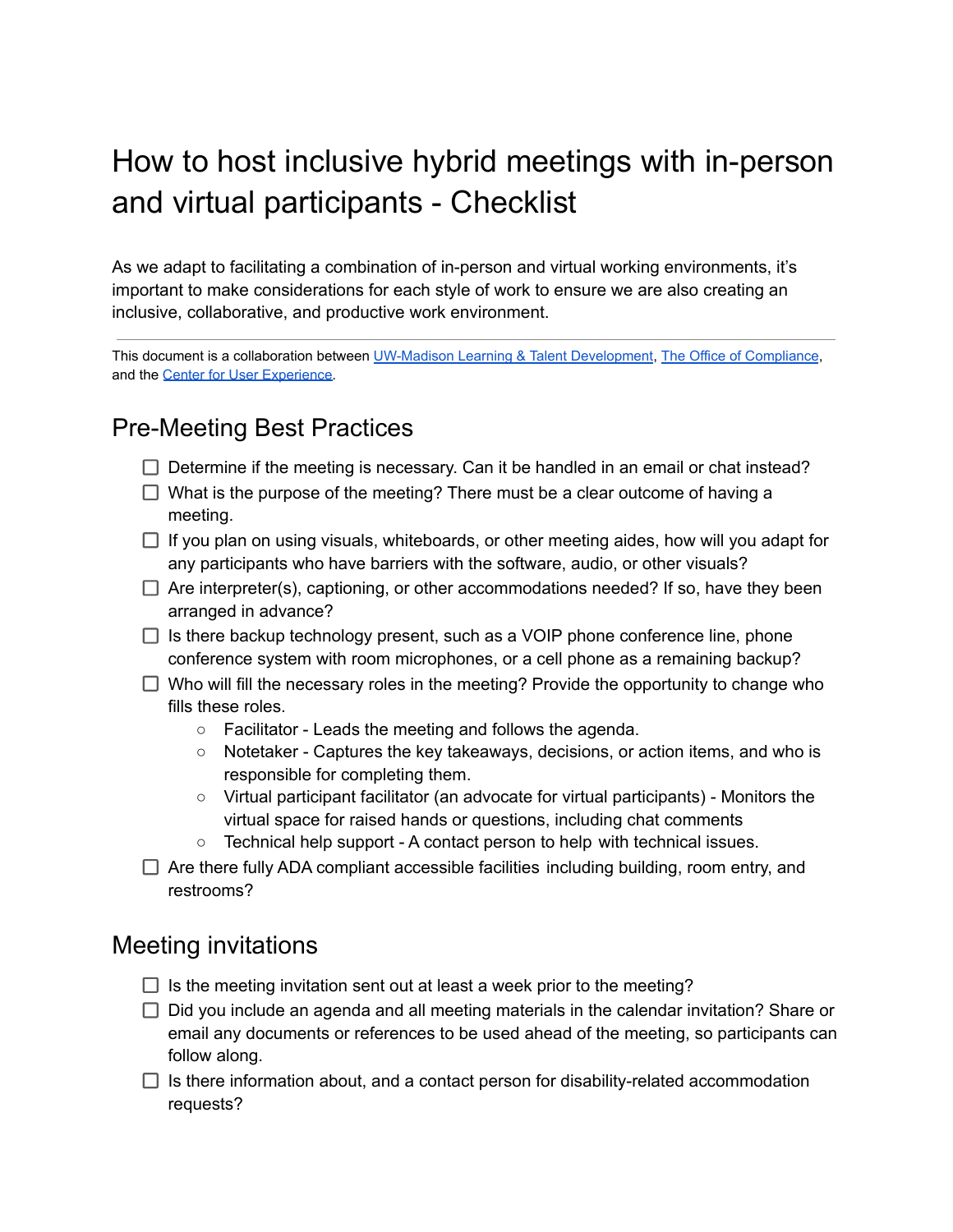# How to host inclusive hybrid meetings with in-person and virtual participants - Checklist

As we adapt to facilitating a combination of in-person and virtual working environments, it's important to make considerations for each style of work to ensure we are also creating an inclusive, collaborative, and productive work environment.

This document is a collaboration between UW-Madison [Learning & Talent Development](https://hr.wisc.edu/professional-development/programs), [The Office of Compliance](https://compliance.wisc.edu/), and the [Center for User Experience.](https://go.wisc.edu/user-centered)

#### Pre-Meeting Best Practices

- $\Box$  Determine if the meeting is necessary. Can it be handled in an email or chat instead?
- $\Box$  What is the purpose of the meeting? There must be a clear outcome of having a meeting.
- $\Box$  If you plan on using visuals, whiteboards, or other meeting aides, how will you adapt for any participants who have barriers with the software, audio, or other visuals?
- $\Box$  Are interpreter(s), captioning, or other accommodations needed? If so, have they been arranged in advance?
- $\Box$  Is there backup technology present, such as a VOIP phone conference line, phone conference system with room microphones, or a cell phone as a remaining backup?
- $\Box$  Who will fill the necessary roles in the meeting? Provide the opportunity to change who fills these roles.
	- Facilitator Leads the meeting and follows the agenda.
	- Notetaker Captures the key takeaways, decisions, or action items, and who is responsible for completing them.
	- Virtual participant facilitator (an advocate for virtual participants) Monitors the virtual space for raised hands or questions, including chat comments
	- Technical help support A contact person to help with technical issues.
- $\Box$  Are there fully ADA compliant accessible facilities including building, room entry, and restrooms?

#### Meeting invitations

- $\Box$  Is the meeting invitation sent out at least a week prior to the meeting?
- $\Box$  Did you include an agenda and all meeting materials in the calendar invitation? Share or email any documents or references to be used ahead of the meeting, so participants can follow along.
- $\Box$  Is there information about, and a contact person for disability-related accommodation requests?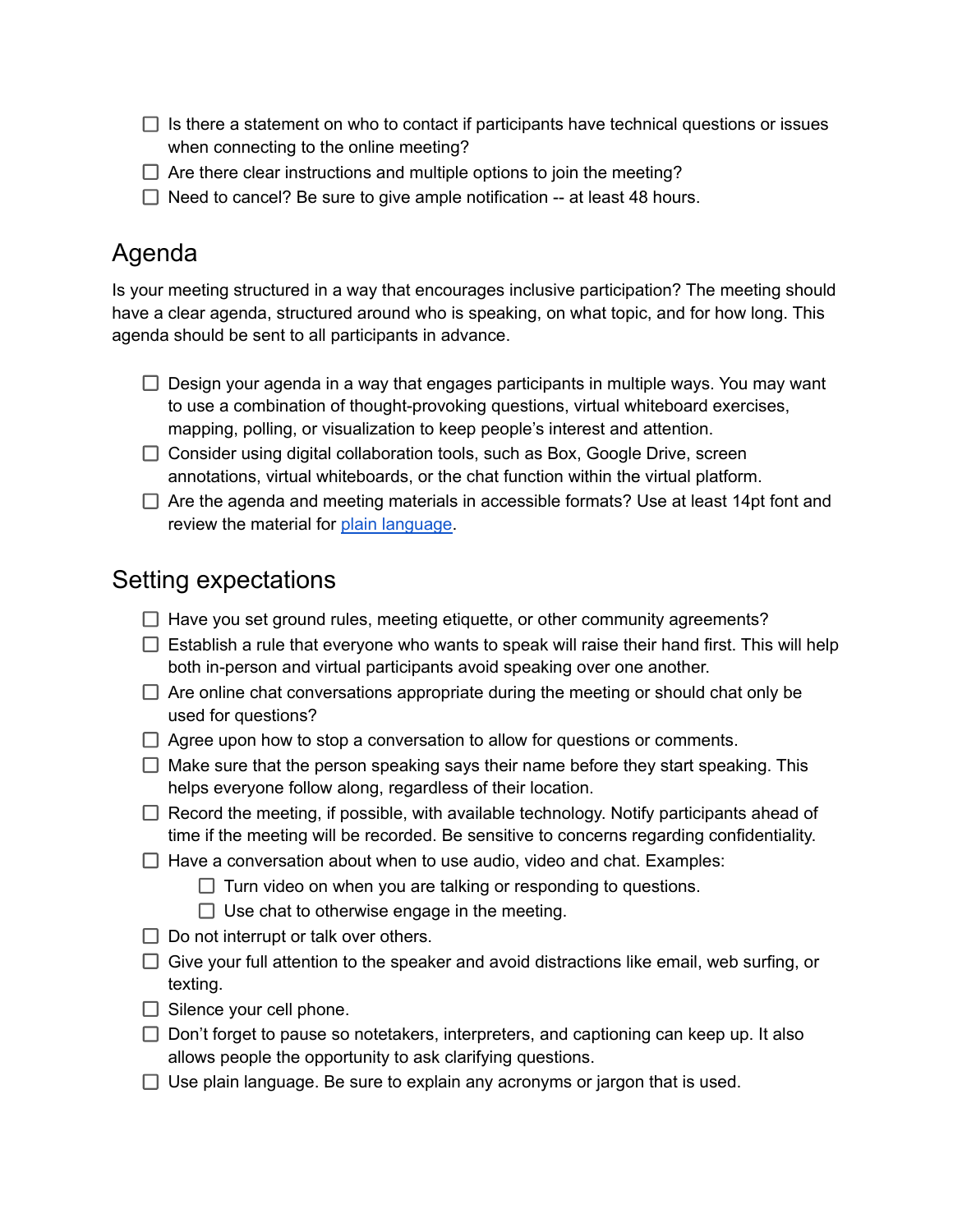- $\Box$  Is there a statement on who to contact if participants have technical questions or issues when connecting to the online meeting?
- $\Box$  Are there clear instructions and multiple options to join the meeting?
- $\Box$  Need to cancel? Be sure to give ample notification -- at least 48 hours.

# Agenda

Is your meeting structured in a way that encourages inclusive participation? The meeting should have a clear agenda, structured around who is speaking, on what topic, and for how long. This agenda should be sent to all participants in advance.

- $\Box$  Design your agenda in a way that engages participants in multiple ways. You may want to use a combination of thought-provoking questions, virtual whiteboard exercises, mapping, polling, or visualization to keep people's interest and attention.
- □ Consider using digital collaboration tools, such as Box, Google Drive, screen annotations, virtual whiteboards, or the chat function within the virtual platform.
- $\Box$  Are the agenda and meeting materials in accessible formats? Use at least 14pt font and review the material for plain [language.](https://hr.wisc.edu/cls/plain-language-training/)

#### Setting expectations

- $\Box$  Have you set ground rules, meeting etiquette, or other community agreements?
- $\Box$  Establish a rule that everyone who wants to speak will raise their hand first. This will help both in-person and virtual participants avoid speaking over one another.
- $\Box$  Are online chat conversations appropriate during the meeting or should chat only be used for questions?
- $\Box$  Agree upon how to stop a conversation to allow for questions or comments.
- $\Box$  Make sure that the person speaking says their name before they start speaking. This helps everyone follow along, regardless of their location.
- $\Box$  Record the meeting, if possible, with available technology. Notify participants ahead of time if the meeting will be recorded. Be sensitive to concerns regarding confidentiality.
- $\Box$  Have a conversation about when to use audio, video and chat. Examples:
	- $\Box$  Turn video on when you are talking or responding to questions.
	- $\Box$  Use chat to otherwise engage in the meeting.
- $\Box$  Do not interrupt or talk over others.
- $\Box$  Give your full attention to the speaker and avoid distractions like email, web surfing, or texting.
- $\Box$  Silence your cell phone.
- $\Box$  Don't forget to pause so notetakers, interpreters, and captioning can keep up. It also allows people the opportunity to ask clarifying questions.
- $\Box$  Use plain language. Be sure to explain any acronyms or jargon that is used.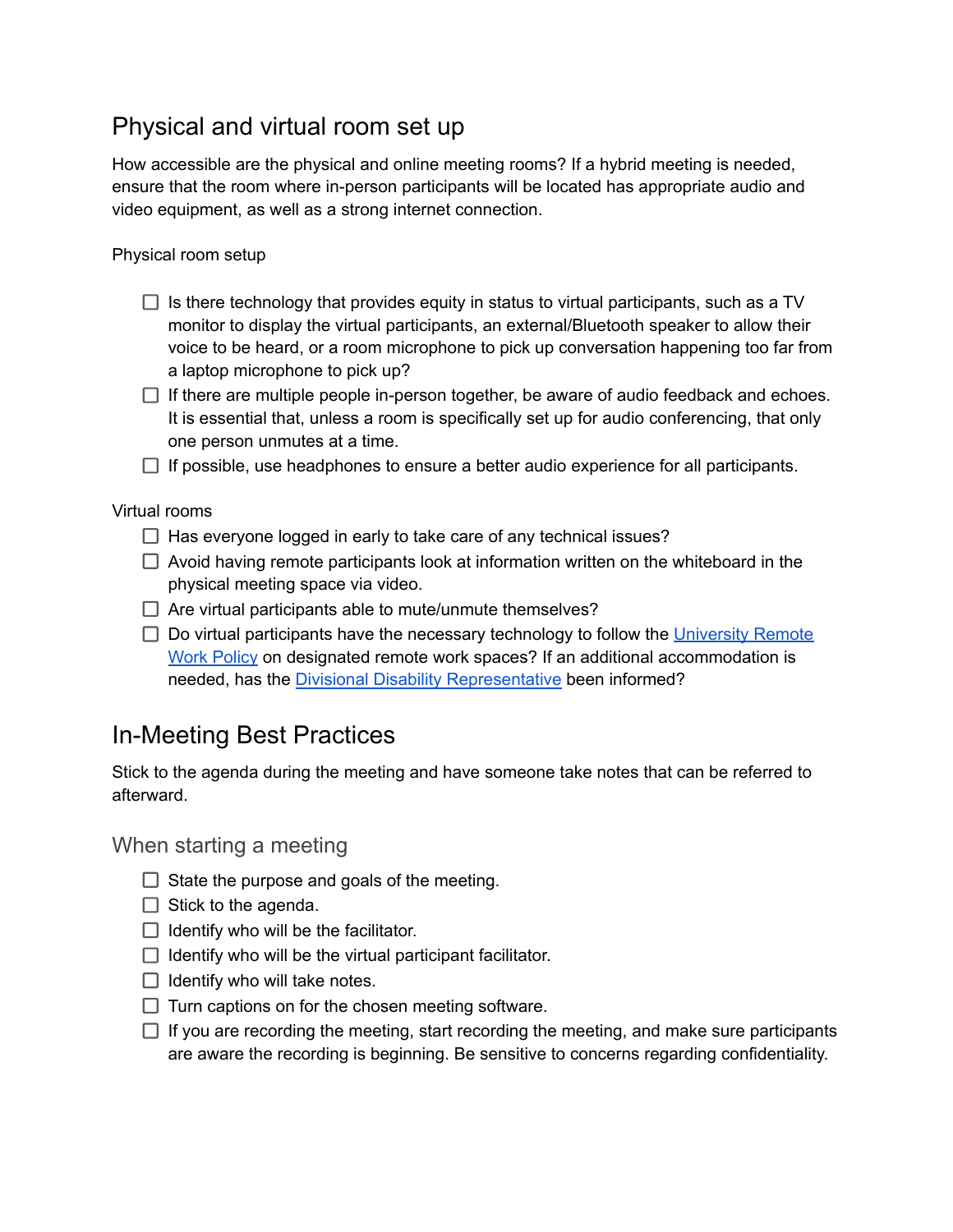## Physical and virtual room set up

How accessible are the physical and online meeting rooms? If a hybrid meeting is needed, ensure that the room where in-person participants will be located has appropriate audio and video equipment, as well as a strong internet connection.

Physical room setup

- $\Box$  Is there technology that provides equity in status to virtual participants, such as a TV monitor to display the virtual participants, an external/Bluetooth speaker to allow their voice to be heard, or a room microphone to pick up conversation happening too far from a laptop microphone to pick up?
- $\Box$  If there are multiple people in-person together, be aware of audio feedback and echoes. It is essential that, unless a room is specifically set up for audio conferencing, that only one person unmutes at a time.
- $\Box$  If possible, use headphones to ensure a better audio experience for all participants.

Virtual rooms

- $\Box$  Has everyone logged in early to take care of any technical issues?
- $\Box$  Avoid having remote participants look at information written on the whiteboard in the physical meeting space via video.
- $\Box$  Are virtual participants able to mute/unmute themselves?
- $\Box$  Do virtual participants have the necessary technology to follow the [University](https://policy.wisc.edu/library/UW-5087) Remote Work [Policy](https://policy.wisc.edu/library/UW-5087) on designated remote work spaces? If an additional accommodation is needed, has the Divisional Disability [Representative](https://employeedisabilities.wisc.edu/divisional-disability-representatives-ddr/) been informed?

## In-Meeting Best Practices

Stick to the agenda during the meeting and have someone take notes that can be referred to afterward.

When starting a meeting

- $\Box$  State the purpose and goals of the meeting.
- $\Box$  Stick to the agenda.
- $\Box$  Identify who will be the facilitator.
- $\Box$  Identify who will be the virtual participant facilitator.
- $\Box$  Identify who will take notes.
- $\Box$  Turn captions on for the chosen meeting software.
- $\Box$  If you are recording the meeting, start recording the meeting, and make sure participants are aware the recording is beginning. Be sensitive to concerns regarding confidentiality.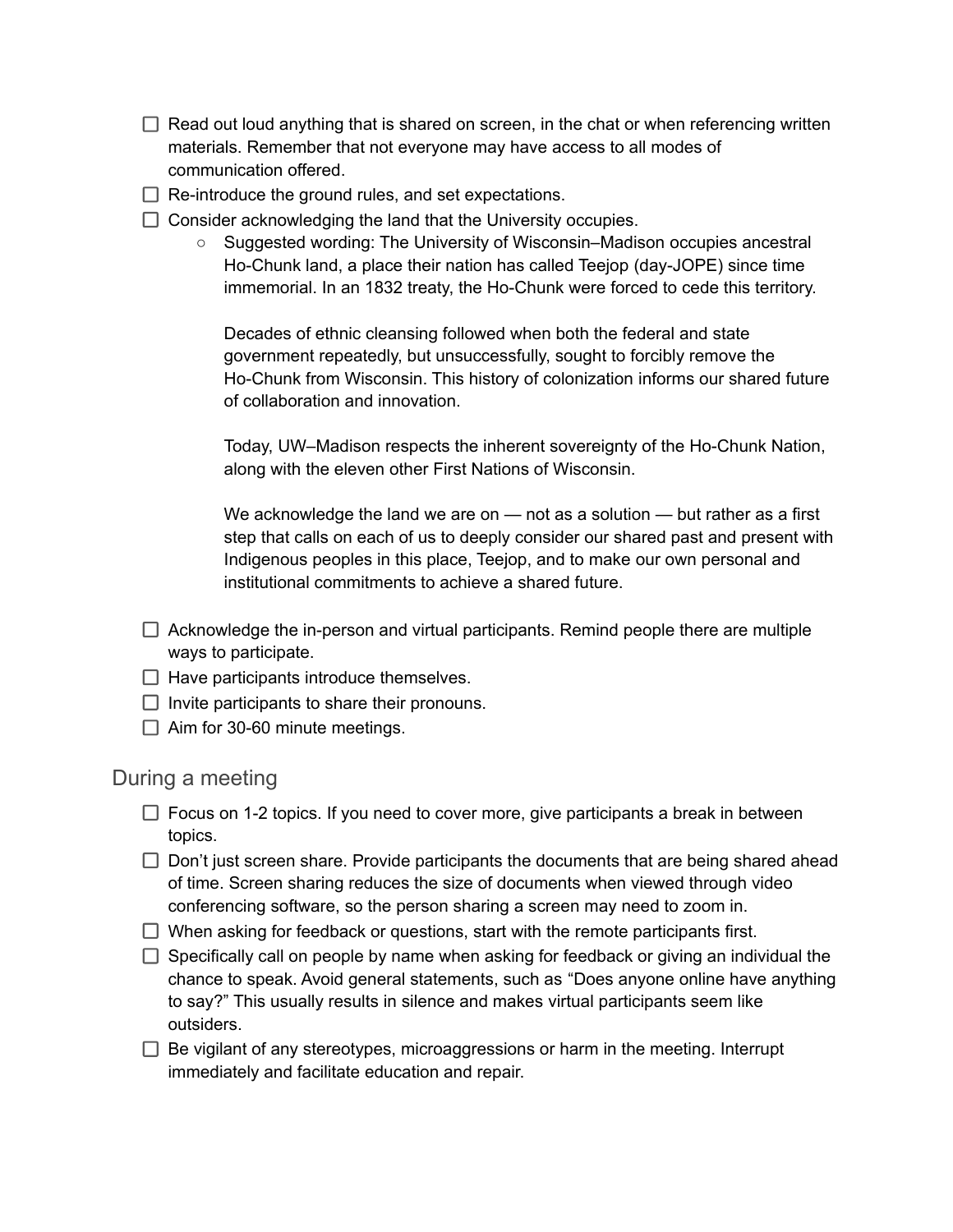- $\Box$  Read out loud anything that is shared on screen, in the chat or when referencing written materials. Remember that not everyone may have access to all modes of communication offered.
- $\Box$  Re-introduce the ground rules, and set expectations.
- $\Box$  Consider acknowledging the land that the University occupies.
	- Suggested wording: The University of Wisconsin–Madison occupies ancestral Ho-Chunk land, a place their nation has called Teejop (day-JOPE) since time immemorial. In an 1832 treaty, the Ho-Chunk were forced to cede this territory.

Decades of ethnic cleansing followed when both the federal and state government repeatedly, but unsuccessfully, sought to forcibly remove the Ho-Chunk from Wisconsin. This history of colonization informs our shared future of collaboration and innovation.

Today, UW–Madison respects the inherent sovereignty of the Ho-Chunk Nation, along with the eleven other First Nations of Wisconsin.

We acknowledge the land we are on — not as a solution — but rather as a first step that calls on each of us to deeply consider our shared past and present with Indigenous peoples in this place, Teejop, and to make our own personal and institutional commitments to achieve a shared future.

- $\Box$  Acknowledge the in-person and virtual participants. Remind people there are multiple ways to participate.
- $\Box$  Have participants introduce themselves.
- $\Box$  Invite participants to share their pronouns.
- $\Box$  Aim for 30-60 minute meetings.

#### During a meeting

- $\Box$  Focus on 1-2 topics. If you need to cover more, give participants a break in between topics.
- $\Box$  Don't just screen share. Provide participants the documents that are being shared ahead of time. Screen sharing reduces the size of documents when viewed through video conferencing software, so the person sharing a screen may need to zoom in.
- $\Box$  When asking for feedback or questions, start with the remote participants first.
- $\Box$  Specifically call on people by name when asking for feedback or giving an individual the chance to speak. Avoid general statements, such as "Does anyone online have anything to say?" This usually results in silence and makes virtual participants seem like outsiders.
- $\Box$  Be vigilant of any stereotypes, microaggressions or harm in the meeting. Interrupt immediately and facilitate education and repair.